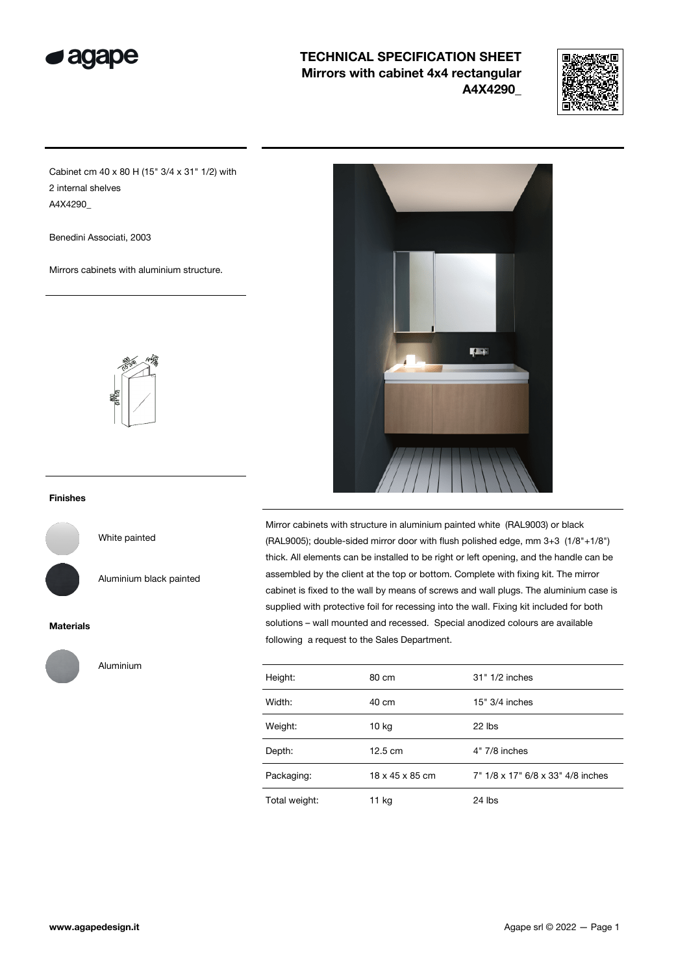

## TECHNICAL SPECIFICATION SHEET Mirrors with cabinet 4x4 rectangular A4X4290\_



Cabinet cm 40 x 80 H (15" 3/4 x 31" 1/2) with 2 internal shelves A4X4290\_

Benedini Associati, 2003

Mirrors cabinets with aluminium structure.



#### Finishes

White painted

Aluminium black painted

#### Materials



Aluminium



Mirror cabinets with structure in aluminium painted white (RAL9003) or black (RAL9005); double-sided mirror door with flush polished edge, mm 3+3 (1/8"+1/8") thick. All elements can be installed to be right or left opening, and the handle can be assembled by the client at the top or bottom. Complete with fixing kit. The mirror cabinet is fixed to the wall by means of screws and wall plugs. The aluminium case is supplied with protective foil for recessing into the wall. Fixing kit included for both solutions – wall mounted and recessed. Special anodized colours are available following a request to the Sales Department.

| Height:       | 80 cm             | 31" 1/2 inches                    |
|---------------|-------------------|-----------------------------------|
| Width:        | 40 cm             | $15" 3/4$ inches                  |
| Weight:       | $10$ kg           | 22 lbs                            |
| Depth:        | $12.5 \text{ cm}$ | 4" 7/8 inches                     |
| Packaging:    | 18 x 45 x 85 cm   | 7" 1/8 x 17" 6/8 x 33" 4/8 inches |
| Total weight: | 11 kg             | 24 lbs                            |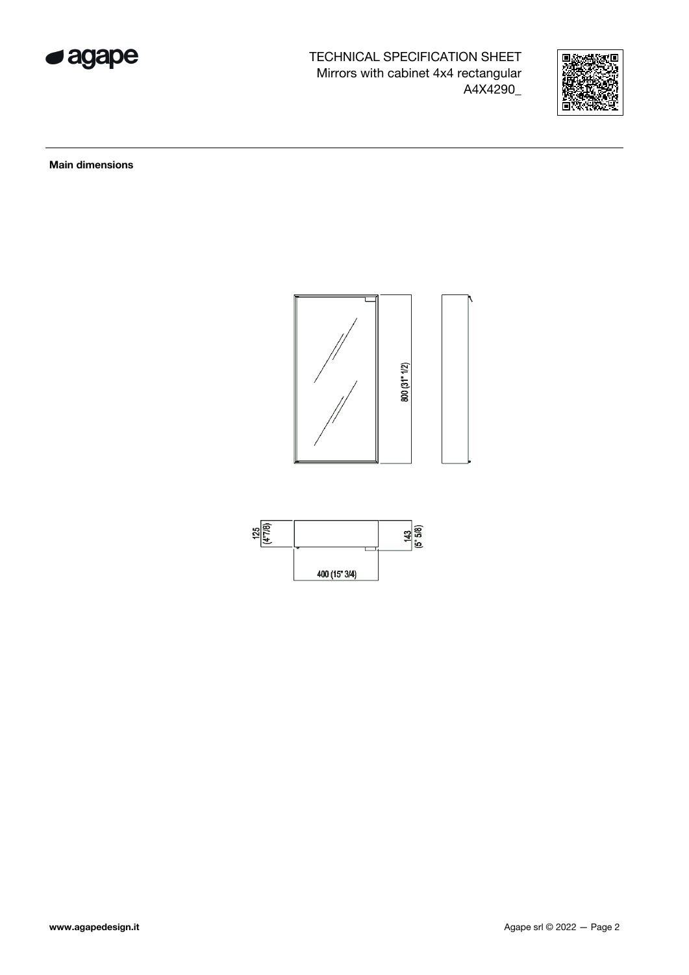

TECHNICAL SPECIFICATION SHEET Mirrors with cabinet 4x4 rectangular A4X4290\_



Main dimensions